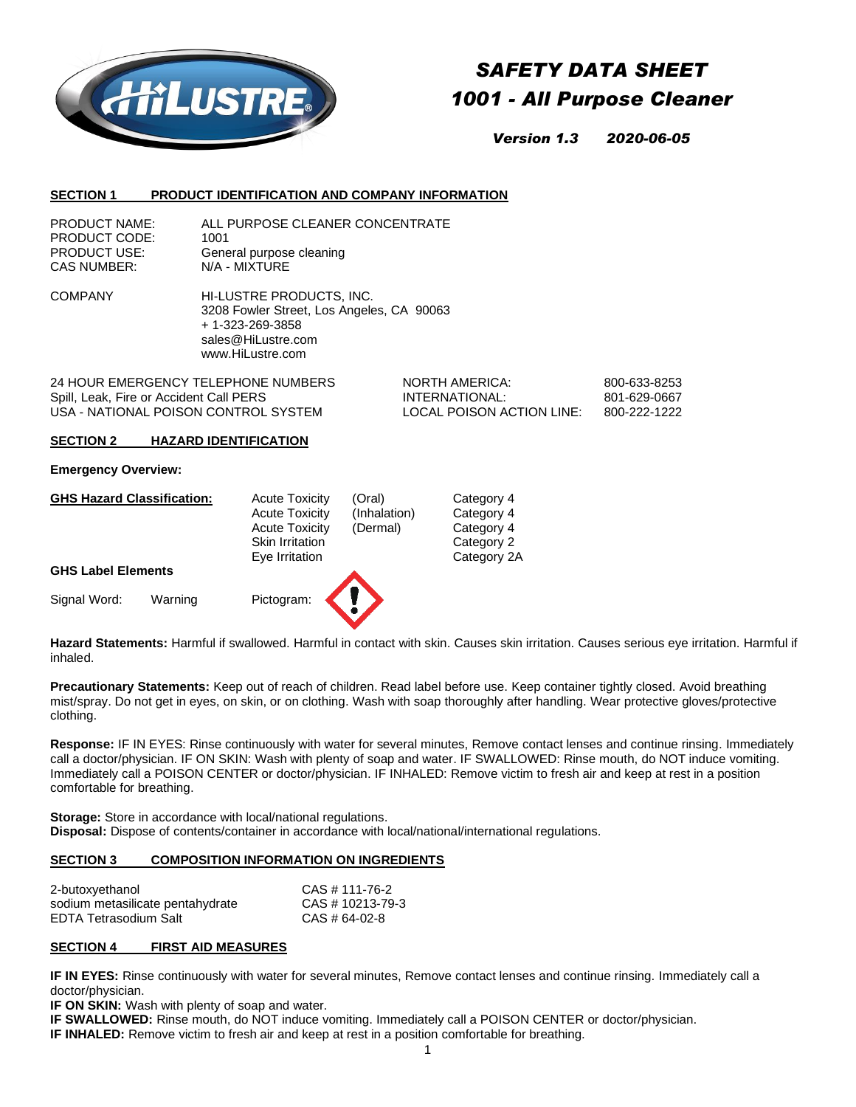

# *SAFETY DATA SHEET 1001 - All Purpose Cleaner*

*Version 1.3 2020-06-05*

#### **SECTION 1 PRODUCT IDENTIFICATION AND COMPANY INFORMATION**

COMPANY HI-LUSTRE PRODUCTS, INC. 3208 Fowler Street, Los Angeles, CA 90063 + 1-323-269-3858 sales@HiLustre.com www.HiLustre.com

24 HOUR EMERGENCY TELEPHONE NUMBERS NORTH AMERICA: 800-633-8253 Spill, Leak, Fire or Accident Call PERS **INTERNATIONAL:** 801-629-0667 USA - NATIONAL POISON CONTROL SYSTEM LOCAL POISON ACTION LINE: 800-222-1222

#### **SECTION 2 HAZARD IDENTIFICATION**

#### **Emergency Overview:**

| <b>GHS Hazard Classification:</b> |         | <b>Acute Toxicity</b>  | (Oral)       | Category 4  |
|-----------------------------------|---------|------------------------|--------------|-------------|
|                                   |         | <b>Acute Toxicity</b>  | (Inhalation) | Category 4  |
|                                   |         | <b>Acute Toxicity</b>  | (Dermal)     | Category 4  |
|                                   |         | <b>Skin Irritation</b> |              | Category 2  |
|                                   |         | Eye Irritation         |              | Category 2A |
| <b>GHS Label Elements</b>         |         |                        |              |             |
| Signal Word:                      | Warning | Pictogram:             |              |             |

**Hazard Statements:** Harmful if swallowed. Harmful in contact with skin. Causes skin irritation. Causes serious eye irritation. Harmful if inhaled.

**Precautionary Statements:** Keep out of reach of children. Read label before use. Keep container tightly closed. Avoid breathing mist/spray. Do not get in eyes, on skin, or on clothing. Wash with soap thoroughly after handling. Wear protective gloves/protective clothing.

**Response:** IF IN EYES: Rinse continuously with water for several minutes, Remove contact lenses and continue rinsing. Immediately call a doctor/physician. IF ON SKIN: Wash with plenty of soap and water. IF SWALLOWED: Rinse mouth, do NOT induce vomiting. Immediately call a POISON CENTER or doctor/physician. IF INHALED: Remove victim to fresh air and keep at rest in a position comfortable for breathing.

**Storage:** Store in accordance with local/national regulations. **Disposal:** Dispose of contents/container in accordance with local/national/international regulations.

## **SECTION 3 COMPOSITION INFORMATION ON INGREDIENTS**

| 2-butoxyethanol                  | CAS # 111-76-2   |
|----------------------------------|------------------|
| sodium metasilicate pentahydrate | CAS # 10213-79-3 |
| EDTA Tetrasodium Salt            | CAS # 64-02-8    |

#### **SECTION 4 FIRST AID MEASURES**

**IF IN EYES:** Rinse continuously with water for several minutes, Remove contact lenses and continue rinsing. Immediately call a doctor/physician.

**IF ON SKIN:** Wash with plenty of soap and water.

**IF SWALLOWED:** Rinse mouth, do NOT induce vomiting. Immediately call a POISON CENTER or doctor/physician.

**IF INHALED:** Remove victim to fresh air and keep at rest in a position comfortable for breathing.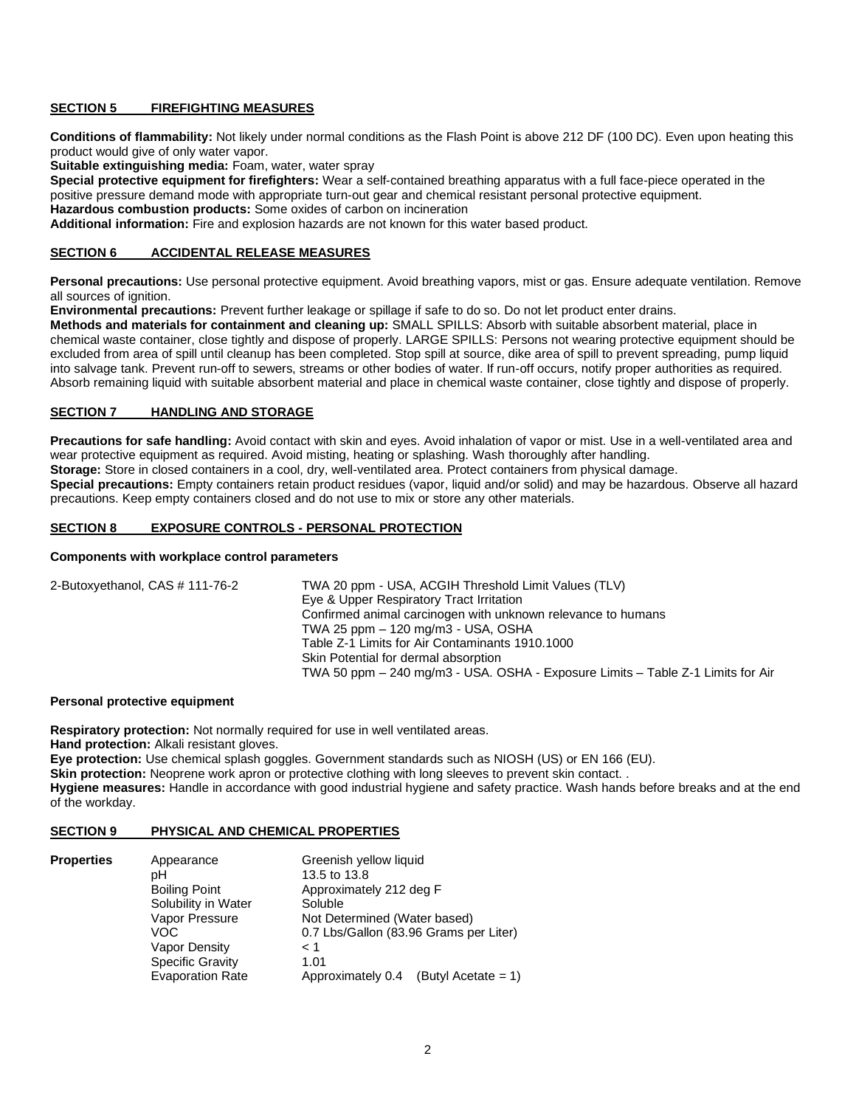## **SECTION 5 FIREFIGHTING MEASURES**

**Conditions of flammability:** Not likely under normal conditions as the Flash Point is above 212 DF (100 DC). Even upon heating this product would give of only water vapor.

**Suitable extinguishing media:** Foam, water, water spray

**Special protective equipment for firefighters:** Wear a self-contained breathing apparatus with a full face-piece operated in the positive pressure demand mode with appropriate turn-out gear and chemical resistant personal protective equipment.

**Hazardous combustion products:** Some oxides of carbon on incineration

**Additional information:** Fire and explosion hazards are not known for this water based product.

## **SECTION 6 ACCIDENTAL RELEASE MEASURES**

**Personal precautions:** Use personal protective equipment. Avoid breathing vapors, mist or gas. Ensure adequate ventilation. Remove all sources of ignition.

**Environmental precautions:** Prevent further leakage or spillage if safe to do so. Do not let product enter drains.

**Methods and materials for containment and cleaning up:** SMALL SPILLS: Absorb with suitable absorbent material, place in chemical waste container, close tightly and dispose of properly. LARGE SPILLS: Persons not wearing protective equipment should be excluded from area of spill until cleanup has been completed. Stop spill at source, dike area of spill to prevent spreading, pump liquid into salvage tank. Prevent run-off to sewers, streams or other bodies of water. If run-off occurs, notify proper authorities as required. Absorb remaining liquid with suitable absorbent material and place in chemical waste container, close tightly and dispose of properly.

## **SECTION 7 HANDLING AND STORAGE**

**Precautions for safe handling:** Avoid contact with skin and eyes. Avoid inhalation of vapor or mist. Use in a well-ventilated area and wear protective equipment as required. Avoid misting, heating or splashing. Wash thoroughly after handling. **Storage:** Store in closed containers in a cool, dry, well-ventilated area. Protect containers from physical damage. **Special precautions:** Empty containers retain product residues (vapor, liquid and/or solid) and may be hazardous. Observe all hazard precautions. Keep empty containers closed and do not use to mix or store any other materials.

## **SECTION 8 EXPOSURE CONTROLS - PERSONAL PROTECTION**

#### **Components with workplace control parameters**

| 2-Butoxyethanol, CAS # 111-76-2 | TWA 20 ppm - USA, ACGIH Threshold Limit Values (TLV)                            |
|---------------------------------|---------------------------------------------------------------------------------|
|                                 | Eye & Upper Respiratory Tract Irritation                                        |
|                                 | Confirmed animal carcinogen with unknown relevance to humans                    |
|                                 | TWA 25 ppm - 120 mg/m3 - USA, OSHA                                              |
|                                 | Table Z-1 Limits for Air Contaminants 1910.1000                                 |
|                                 | Skin Potential for dermal absorption                                            |
|                                 | TWA 50 ppm – 240 mg/m3 - USA. OSHA - Exposure Limits – Table Z-1 Limits for Air |

#### **Personal protective equipment**

**Respiratory protection:** Not normally required for use in well ventilated areas. **Hand protection:** Alkali resistant gloves. **Eye protection:** Use chemical splash goggles. Government standards such as NIOSH (US) or EN 166 (EU). **Skin protection:** Neoprene work apron or protective clothing with long sleeves to prevent skin contact. . **Hygiene measures:** Handle in accordance with good industrial hygiene and safety practice. Wash hands before breaks and at the end of the workday.

#### **SECTION 9 PHYSICAL AND CHEMICAL PROPERTIES**

| <b>Properties</b> | Appearance              | Greenish yellow liquid                   |
|-------------------|-------------------------|------------------------------------------|
|                   | pН                      | 13.5 to 13.8                             |
|                   | <b>Boiling Point</b>    | Approximately 212 deg F                  |
|                   | Solubility in Water     | Soluble                                  |
|                   | Vapor Pressure          | Not Determined (Water based)             |
|                   | VOC                     | 0.7 Lbs/Gallon (83.96 Grams per Liter)   |
|                   | Vapor Density           | $\leq 1$                                 |
|                   | <b>Specific Gravity</b> | 1.01                                     |
|                   | <b>Evaporation Rate</b> | Approximately 0.4<br>(Butyl Acetate = 1) |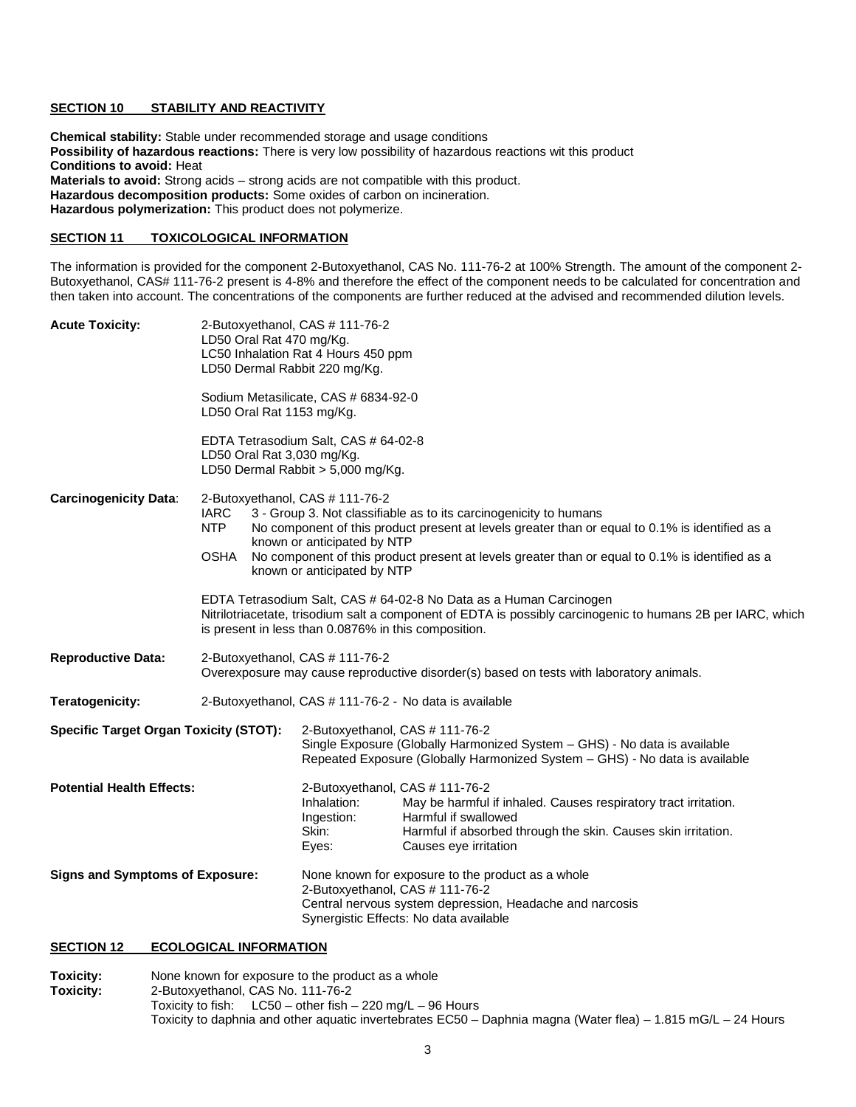## **SECTION 10 STABILITY AND REACTIVITY**

**Chemical stability:** Stable under recommended storage and usage conditions **Possibility of hazardous reactions:** There is very low possibility of hazardous reactions wit this product **Conditions to avoid:** Heat **Materials to avoid:** Strong acids – strong acids are not compatible with this product. **Hazardous decomposition products:** Some oxides of carbon on incineration. **Hazardous polymerization:** This product does not polymerize.

## **SECTION 11 TOXICOLOGICAL INFORMATION**

The information is provided for the component 2-Butoxyethanol, CAS No. 111-76-2 at 100% Strength. The amount of the component 2- Butoxyethanol, CAS# 111-76-2 present is 4-8% and therefore the effect of the component needs to be calculated for concentration and then taken into account. The concentrations of the components are further reduced at the advised and recommended dilution levels.

| <b>Acute Toxicity:</b>                        | 2-Butoxyethanol, CAS # 111-76-2<br>LD50 Oral Rat 470 mg/Kg.<br>LC50 Inhalation Rat 4 Hours 450 ppm<br>LD50 Dermal Rabbit 220 mg/Kg.                                                                                                                                                                                                                                                                           |                                                                                                                                                                                             |                                                                                                                                                                                   |  |
|-----------------------------------------------|---------------------------------------------------------------------------------------------------------------------------------------------------------------------------------------------------------------------------------------------------------------------------------------------------------------------------------------------------------------------------------------------------------------|---------------------------------------------------------------------------------------------------------------------------------------------------------------------------------------------|-----------------------------------------------------------------------------------------------------------------------------------------------------------------------------------|--|
|                                               | Sodium Metasilicate, CAS # 6834-92-0<br>LD50 Oral Rat 1153 mg/Kg.                                                                                                                                                                                                                                                                                                                                             |                                                                                                                                                                                             |                                                                                                                                                                                   |  |
|                                               | EDTA Tetrasodium Salt, CAS # 64-02-8<br>LD50 Oral Rat 3,030 mg/Kg.<br>LD50 Dermal Rabbit > 5,000 mg/Kg.                                                                                                                                                                                                                                                                                                       |                                                                                                                                                                                             |                                                                                                                                                                                   |  |
| <b>Carcinogenicity Data:</b>                  | 2-Butoxyethanol, CAS # 111-76-2<br><b>IARC</b><br>3 - Group 3. Not classifiable as to its carcinogenicity to humans<br>NTP<br>No component of this product present at levels greater than or equal to 0.1% is identified as a<br>known or anticipated by NTP<br>No component of this product present at levels greater than or equal to 0.1% is identified as a<br><b>OSHA</b><br>known or anticipated by NTP |                                                                                                                                                                                             |                                                                                                                                                                                   |  |
|                                               | EDTA Tetrasodium Salt, CAS # 64-02-8 No Data as a Human Carcinogen<br>Nitrilotriacetate, trisodium salt a component of EDTA is possibly carcinogenic to humans 2B per IARC, which<br>is present in less than 0.0876% in this composition.                                                                                                                                                                     |                                                                                                                                                                                             |                                                                                                                                                                                   |  |
| <b>Reproductive Data:</b>                     |                                                                                                                                                                                                                                                                                                                                                                                                               | 2-Butoxyethanol, CAS # 111-76-2<br>Overexposure may cause reproductive disorder(s) based on tests with laboratory animals.                                                                  |                                                                                                                                                                                   |  |
| <b>Teratogenicity:</b>                        |                                                                                                                                                                                                                                                                                                                                                                                                               | 2-Butoxyethanol, CAS # 111-76-2 - No data is available                                                                                                                                      |                                                                                                                                                                                   |  |
| <b>Specific Target Organ Toxicity (STOT):</b> |                                                                                                                                                                                                                                                                                                                                                                                                               | 2-Butoxyethanol, CAS # 111-76-2<br>Single Exposure (Globally Harmonized System - GHS) - No data is available<br>Repeated Exposure (Globally Harmonized System - GHS) - No data is available |                                                                                                                                                                                   |  |
| <b>Potential Health Effects:</b>              |                                                                                                                                                                                                                                                                                                                                                                                                               | 2-Butoxyethanol, CAS # 111-76-2<br>Inhalation:<br>Ingestion:<br>Skin:<br>Eyes:                                                                                                              | May be harmful if inhaled. Causes respiratory tract irritation.<br>Harmful if swallowed<br>Harmful if absorbed through the skin. Causes skin irritation.<br>Causes eye irritation |  |
| <b>Signs and Symptoms of Exposure:</b>        |                                                                                                                                                                                                                                                                                                                                                                                                               | 2-Butoxyethanol, CAS # 111-76-2                                                                                                                                                             | None known for exposure to the product as a whole<br>Central nervous system depression, Headache and narcosis<br>Synergistic Effects: No data available                           |  |

## **SECTION 12 ECOLOGICAL INFORMATION**

**Toxicity:** None known for exposure to the product as a whole<br> **Toxicity:** 2-Butoxyethanol, CAS No. 111-76-2 **Toxicity:** 2-Butoxyethanol, CAS No. 111-76-2 Toxicity to fish: LC50 – other fish – 220 mg/L – 96 Hours Toxicity to daphnia and other aquatic invertebrates EC50 – Daphnia magna (Water flea) – 1.815 mG/L – 24 Hours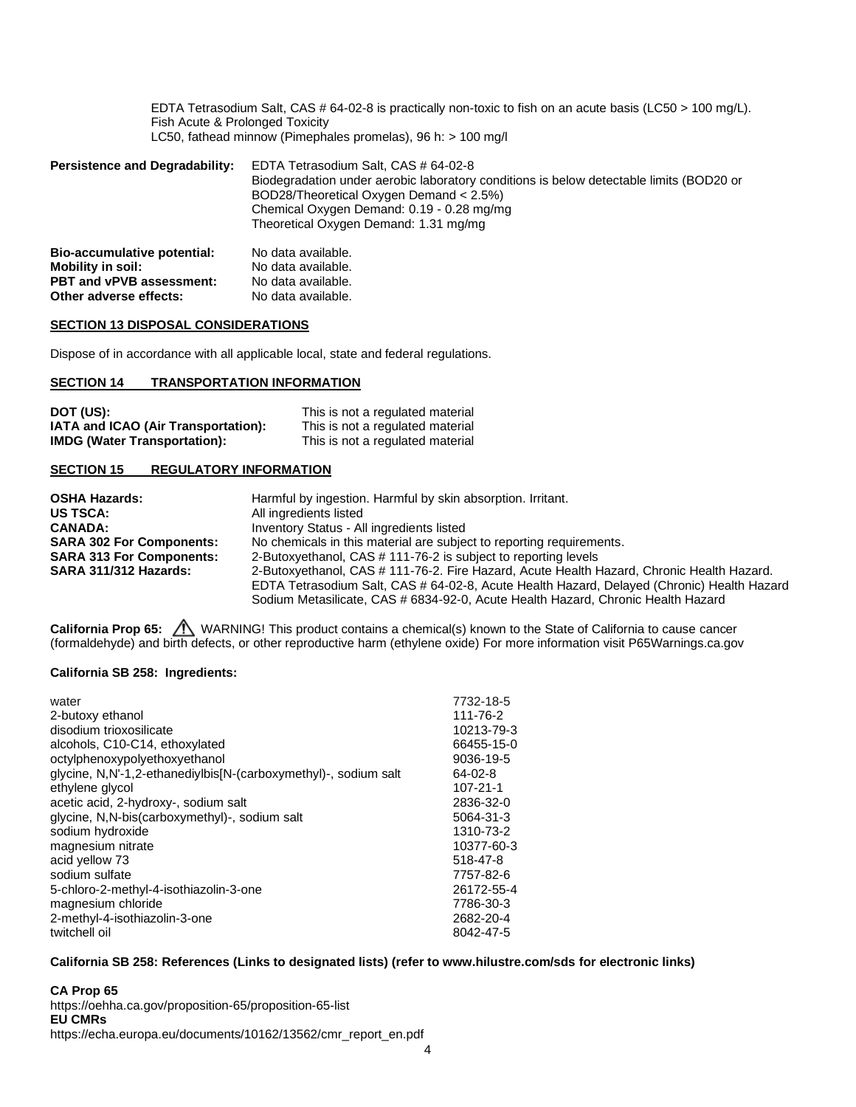EDTA Tetrasodium Salt, CAS # 64-02-8 is practically non-toxic to fish on an acute basis (LC50 > 100 mg/L). Fish Acute & Prolonged Toxicity LC50, fathead minnow (Pimephales promelas), 96 h: > 100 mg/l

| <b>Persistence and Degradability:</b> | EDTA Tetrasodium Salt, CAS # 64-02-8<br>Biodegradation under aerobic laboratory conditions is below detectable limits (BOD20 or<br>BOD28/Theoretical Oxygen Demand < 2.5%)<br>Chemical Oxygen Demand: 0.19 - 0.28 mg/mg<br>Theoretical Oxygen Demand: 1.31 mg/mg |  |
|---------------------------------------|------------------------------------------------------------------------------------------------------------------------------------------------------------------------------------------------------------------------------------------------------------------|--|
| Bio-accumulative potential:           | No data available.                                                                                                                                                                                                                                               |  |
| <b>Mobility in soil:</b>              | No data available.                                                                                                                                                                                                                                               |  |
| <b>PBT and vPVB assessment:</b>       | No data available.                                                                                                                                                                                                                                               |  |

#### **SECTION 13 DISPOSAL CONSIDERATIONS**

Dispose of in accordance with all applicable local, state and federal regulations.

#### **SECTION 14 TRANSPORTATION INFORMATION**

**Other adverse effects:** No data available.

| DOT (US):                           | This is not a regulated material |
|-------------------------------------|----------------------------------|
| IATA and ICAO (Air Transportation): | This is not a regulated material |
| <b>IMDG (Water Transportation):</b> | This is not a regulated material |

## **SECTION 15 REGULATORY INFORMATION**

| <b>OSHA Hazards:</b>            | Harmful by ingestion. Harmful by skin absorption. Irritant.                                |
|---------------------------------|--------------------------------------------------------------------------------------------|
| <b>US TSCA:</b>                 | All ingredients listed                                                                     |
| <b>CANADA:</b>                  | Inventory Status - All ingredients listed                                                  |
| <b>SARA 302 For Components:</b> | No chemicals in this material are subject to reporting requirements.                       |
| <b>SARA 313 For Components:</b> | 2-Butoxyethanol, CAS # 111-76-2 is subject to reporting levels                             |
| SARA 311/312 Hazards:           | 2-Butoxyethanol, CAS # 111-76-2. Fire Hazard, Acute Health Hazard, Chronic Health Hazard.  |
|                                 | EDTA Tetrasodium Salt, CAS # 64-02-8, Acute Health Hazard, Delayed (Chronic) Health Hazard |
|                                 | Sodium Metasilicate, CAS # 6834-92-0, Acute Health Hazard, Chronic Health Hazard           |

**California Prop 65:**  $\sqrt{N}$  WARNING! This product contains a chemical(s) known to the State of California to cause cancer (formaldehyde) and birth defects, or other reproductive harm (ethylene oxide) For more information visit P65Warnings.ca.gov

## **California SB 258: Ingredients:**

| water                                                           | 7732-18-5      |
|-----------------------------------------------------------------|----------------|
| 2-butoxy ethanol                                                | 111-76-2       |
| disodium trioxosilicate                                         | 10213-79-3     |
| alcohols, C10-C14, ethoxylated                                  | 66455-15-0     |
| octylphenoxypolyethoxyethanol                                   | 9036-19-5      |
| glycine, N,N'-1,2-ethanediylbis[N-(carboxymethyl)-, sodium salt | $64 - 02 - 8$  |
| ethylene glycol                                                 | $107 - 21 - 1$ |
| acetic acid, 2-hydroxy-, sodium salt                            | 2836-32-0      |
| glycine, N,N-bis(carboxymethyl)-, sodium salt                   | 5064-31-3      |
| sodium hydroxide                                                | 1310-73-2      |
| magnesium nitrate                                               | 10377-60-3     |
| acid yellow 73                                                  | 518-47-8       |
| sodium sulfate                                                  | 7757-82-6      |
| 5-chloro-2-methyl-4-isothiazolin-3-one                          | 26172-55-4     |
| magnesium chloride                                              | 7786-30-3      |
| 2-methyl-4-isothiazolin-3-one                                   | 2682-20-4      |
| twitchell oil                                                   | 8042-47-5      |

#### **California SB 258: References (Links to designated lists) (refer t[o www.hilustre.com/sds](http://www.hilustre.com/sds) for electronic links)**

**CA Prop 65** <https://oehha.ca.gov/proposition-65/proposition-65-list> **EU CMRs** [https://echa.europa.eu/documents/10162/13562/cmr\\_report\\_en.pdf](https://echa.europa.eu/documents/10162/13562/cmr_report_en.pdf)